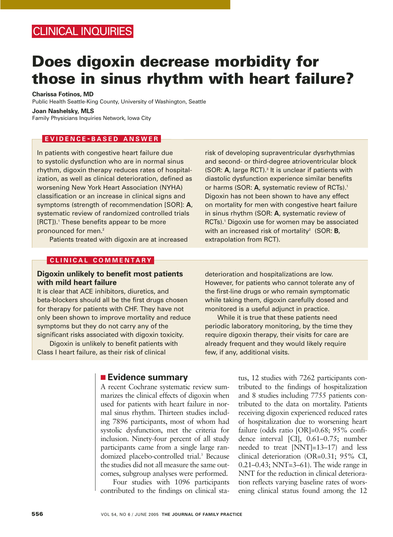# CLINICAL INQUIRIES

# **Does digoxin decrease morbidity for those in sinus rhythm with heart failure?**

#### **Charissa Fotinos, MD**

Public Health Seattle-King County, University of Washington, Seattle

#### **Joan Nashelsky, MLS**

Family Physicians Inquiries Network, Iowa City

#### **EVIDENCE - BASED ANSWER**

In patients with congestive heart failure due to systolic dysfunction who are in normal sinus rhythm, digoxin therapy reduces rates of hospitalization, as well as clinical deterioration, defined as worsening New York Heart Association (NYHA) classification or an increase in clinical signs and symptoms (strength of recommendation [SOR]: **A**, systematic review of randomized controlled trials [RCT]).1 These benefits appear to be more pronounced for men.2

risk of developing supraventricular dysrhythmias and second- or third-degree atrioventricular block (SOR: A, large RCT).<sup>3</sup> It is unclear if patients with diastolic dysfunction experience similar benefits or harms (SOR: A, systematic review of RCTs).<sup>1</sup> Digoxin has not been shown to have any effect on mortality for men with congestive heart failure in sinus rhythm (SOR: **A**, systematic review of RCTs).<sup>1</sup> Digoxin use for women may be associated with an increased risk of mortality<sup>2</sup> (SOR: **B**, extrapolation from RCT).

Patients treated with digoxin are at increased

### **CLINICAL COMMENTARY**

## **Digoxin unlikely to benefit most patients with mild heart failure**

It is clear that ACE inhibitors, diuretics, and beta-blockers should all be the first drugs chosen for therapy for patients with CHF. They have not only been shown to improve mortality and reduce symptoms but they do not carry any of the significant risks associated with digoxin toxicity.

Digoxin is unlikely to benefit patients with Class I heart failure, as their risk of clinical

# ■ **Evidence summary**

A recent Cochrane systematic review summarizes the clinical effects of digoxin when used for patients with heart failure in normal sinus rhythm. Thirteen studies including 7896 participants, most of whom had systolic dysfunction, met the criteria for inclusion. Ninety-four percent of all study participants came from a single large randomized placebo-controlled trial.<sup>3</sup> Because the studies did not all measure the same outcomes, subgroup analyses were performed.

Four studies with 1096 participants contributed to the findings on clinical sta-

deterioration and hospitalizations are low. However, for patients who cannot tolerate any of the first-line drugs or who remain symptomatic while taking them, digoxin carefully dosed and monitored is a useful adjunct in practice.

While it is true that these patients need periodic laboratory monitoring, by the time they require digoxin therapy, their visits for care are already frequent and they would likely require few, if any, additional visits.

> tus, 12 studies with 7262 participants contributed to the findings of hospitalization and 8 studies including 7755 patients contributed to the data on mortality. Patients receiving digoxin experienced reduced rates of hospitalization due to worsening heart failure (odds ratio [OR]=0.68; 95% confidence interval [CI], 0.61–0.75; number needed to treat [NNT]=13–17) and less clinical deterioration (OR=0.31; 95% CI, 0.21–0.43; NNT=3–61). The wide range in NNT for the reduction in clinical deterioration reflects varying baseline rates of worsening clinical status found among the 12